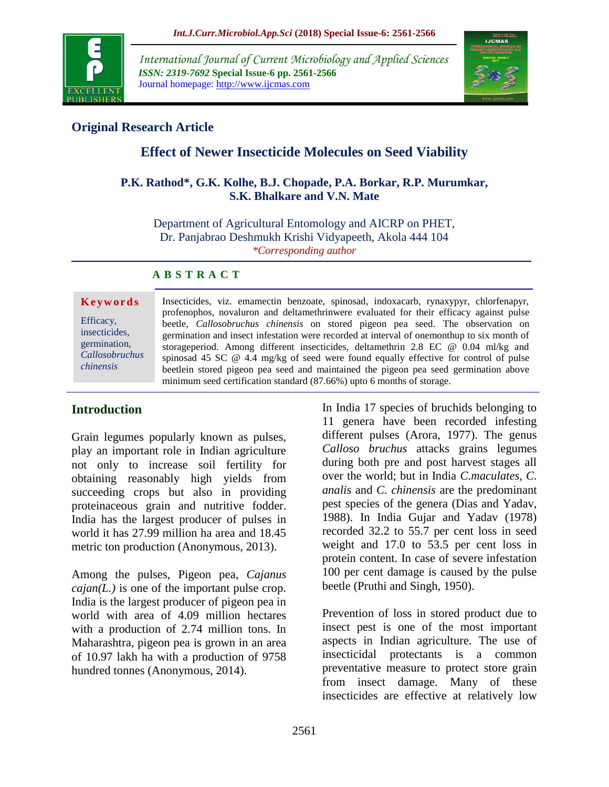

*International Journal of Current Microbiology and Applied Sciences ISSN: 2319-7692* **Special Issue-6 pp. 2561-2566** Journal homepage: http://www.ijcmas.com



### **Original Research Article**

# **Effect of Newer Insecticide Molecules on Seed Viability**

#### **P.K. Rathod\*, G.K. Kolhe, B.J. Chopade, P.A. Borkar, R.P. Murumkar, S.K. Bhalkare and V.N. Mate**

Department of Agricultural Entomology and AICRP on PHET, Dr. Panjabrao Deshmukh Krishi Vidyapeeth, Akola 444 104 *\*Corresponding author*

#### **A B S T R A C T**

#### **K e y w o r d s**

Efficacy, insecticides, germination, *Callosobruchus chinensis*

Insecticides, viz. emamectin benzoate, spinosad, indoxacarb, rynaxypyr, chlorfenapyr, profenophos, novaluron and deltamethrinwere evaluated for their efficacy against pulse beetle, *Callosobruchus chinensis* on stored pigeon pea seed. The observation on germination and insect infestation were recorded at interval of onemonthup to six month of storageperiod. Among different insecticides, deltamethrin 2.8 EC @ 0.04 ml/kg and spinosad 45 SC @ 4.4 mg/kg of seed were found equally effective for control of pulse beetlein stored pigeon pea seed and maintained the pigeon pea seed germination above minimum seed certification standard (87.66%) upto 6 months of storage.

#### **Introduction**

Grain legumes popularly known as pulses, play an important role in Indian agriculture not only to increase soil fertility for obtaining reasonably high yields from succeeding crops but also in providing proteinaceous grain and nutritive fodder. India has the largest producer of pulses in world it has 27.99 million ha area and 18.45 metric ton production (Anonymous, 2013).

Among the pulses, Pigeon pea, *Cajanus cajan(L.)* is one of the important pulse crop. India is the largest producer of pigeon pea in world with area of 4.09 million hectares with a production of 2.74 million tons. In Maharashtra, pigeon pea is grown in an area of 10.97 lakh ha with a production of 9758 hundred tonnes (Anonymous, 2014).

In India 17 species of bruchids belonging to 11 genera have been recorded infesting different pulses (Arora, 1977). The genus *Calloso bruchus* attacks grains legumes during both pre and post harvest stages all over the world; but in India *C.maculates, C. analis* and *C. chinensis* are the predominant pest species of the genera (Dias and Yadav, 1988). In India Gujar and Yadav (1978) recorded 32.2 to 55.7 per cent loss in seed weight and 17.0 to 53.5 per cent loss in protein content. In case of severe infestation 100 per cent damage is caused by the pulse beetle (Pruthi and Singh, 1950).

Prevention of loss in stored product due to insect pest is one of the most important aspects in Indian agriculture. The use of insecticidal protectants is a common preventative measure to protect store grain from insect damage. Many of these insecticides are effective at relatively low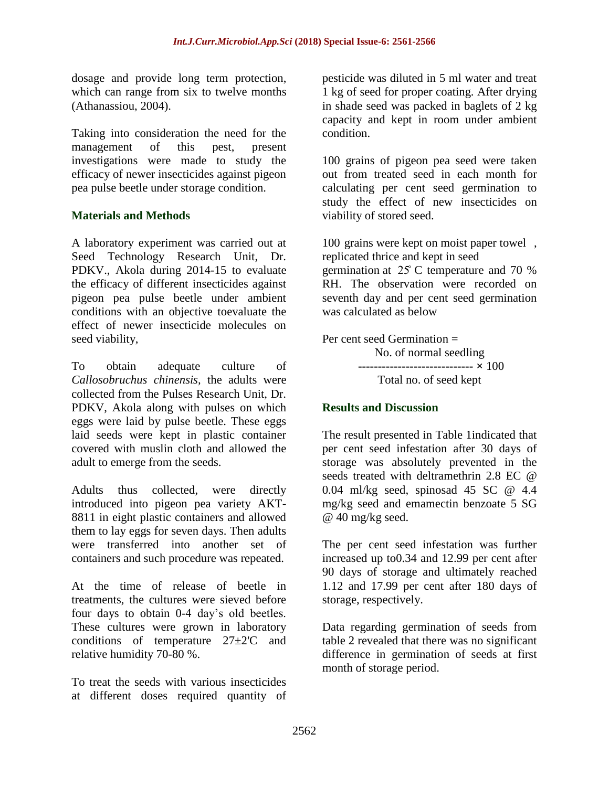dosage and provide long term protection, which can range from six to twelve months (Athanassiou, 2004).

Taking into consideration the need for the management of this pest, present investigations were made to study the efficacy of newer insecticides against pigeon pea pulse beetle under storage condition.

#### **Materials and Methods**

A laboratory experiment was carried out at Seed Technology Research Unit, Dr. PDKV., Akola during 2014-15 to evaluate the efficacy of different insecticides against pigeon pea pulse beetle under ambient conditions with an objective toevaluate the effect of newer insecticide molecules on seed viability,

To obtain adequate culture of *Callosobruchus chinensis,* the adults were collected from the Pulses Research Unit, Dr. PDKV, Akola along with pulses on which eggs were laid by pulse beetle. These eggs laid seeds were kept in plastic container covered with muslin cloth and allowed the adult to emerge from the seeds.

Adults thus collected, were directly introduced into pigeon pea variety AKT-8811 in eight plastic containers and allowed them to lay eggs for seven days. Then adults were transferred into another set of containers and such procedure was repeated.

At the time of release of beetle in treatments, the cultures were sieved before four days to obtain 0-4 day's old beetles. These cultures were grown in laboratory conditions of temperature 27±2'C and relative humidity 70-80 %.

To treat the seeds with various insecticides at different doses required quantity of pesticide was diluted in 5 ml water and treat 1 kg of seed for proper coating. After drying in shade seed was packed in baglets of 2 kg capacity and kept in room under ambient condition.

100 grains of pigeon pea seed were taken out from treated seed in each month for calculating per cent seed germination to study the effect of new insecticides on viability of stored seed.

100 grains were kept on moist paper towel , replicated thrice and kept in seed germination at 25̊ C temperature and 70 % RH. The observation were recorded on seventh day and per cent seed germination was calculated as below

Per cent seed Germination = No. of normal seedling **----------------------------- ×** 100 Total no. of seed kept

#### **Results and Discussion**

The result presented in Table 1indicated that per cent seed infestation after 30 days of storage was absolutely prevented in the seeds treated with deltramethrin 2.8 EC @ 0.04 ml/kg seed, spinosad 45 SC @ 4.4 mg/kg seed and emamectin benzoate 5 SG @ 40 mg/kg seed.

The per cent seed infestation was further increased up to0.34 and 12.99 per cent after 90 days of storage and ultimately reached 1.12 and 17.99 per cent after 180 days of storage, respectively.

Data regarding germination of seeds from table 2 revealed that there was no significant difference in germination of seeds at first month of storage period.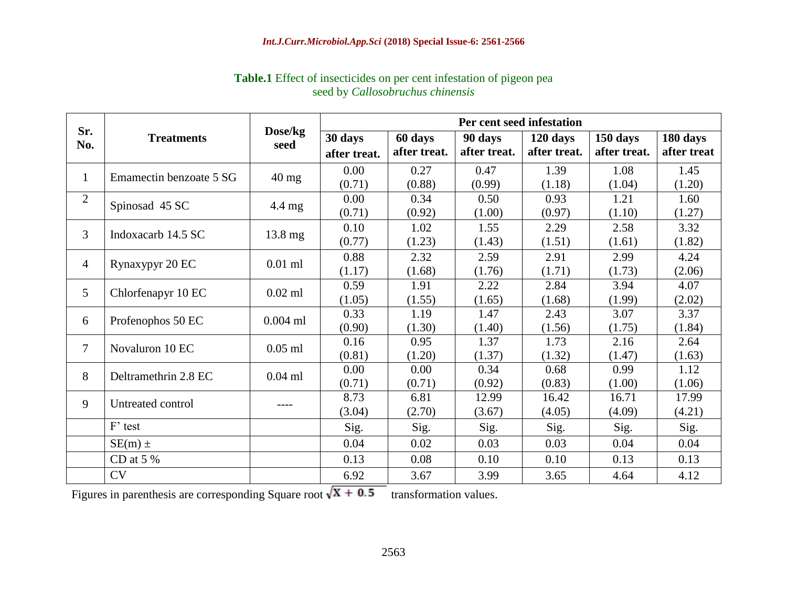| Sr.<br>No.     | <b>Treatments</b>       | Dose/kg<br>seed  | Per cent seed infestation |              |              |              |              |             |
|----------------|-------------------------|------------------|---------------------------|--------------|--------------|--------------|--------------|-------------|
|                |                         |                  | 30 days                   | 60 days      | 90 days      | 120 days     | 150 days     | 180 days    |
|                |                         |                  | after treat.              | after treat. | after treat. | after treat. | after treat. | after treat |
| $\mathbf{1}$   | Emamectin benzoate 5 SG | $40 \text{ mg}$  | 0.00                      | 0.27         | 0.47         | 1.39         | 1.08         | 1.45        |
|                |                         |                  | (0.71)                    | (0.88)       | (0.99)       | (1.18)       | (1.04)       | (1.20)      |
| 2              | Spinosad 45 SC          | $4.4 \text{ mg}$ | 0.00                      | 0.34         | 0.50         | 0.93         | 1.21         | 1.60        |
|                |                         |                  | (0.71)                    | (0.92)       | (1.00)       | (0.97)       | (1.10)       | (1.27)      |
| 3              | Indoxacarb 14.5 SC      | 13.8 mg          | 0.10                      | 1.02         | 1.55         | 2.29         | 2.58         | 3.32        |
|                |                         |                  | (0.77)                    | (1.23)       | (1.43)       | (1.51)       | (1.61)       | (1.82)      |
| $\overline{4}$ | Rynaxypyr 20 EC         | $0.01$ ml        | 0.88                      | 2.32         | 2.59         | 2.91         | 2.99         | 4.24        |
|                |                         |                  | (1.17)                    | (1.68)       | (1.76)       | (1.71)       | (1.73)       | (2.06)      |
| 5              | Chlorfenapyr 10 EC      | $0.02$ ml        | 0.59                      | 1.91         | 2.22         | 2.84         | 3.94         | 4.07        |
|                |                         |                  | (1.05)                    | (1.55)       | (1.65)       | (1.68)       | (1.99)       | (2.02)      |
| 6              | Profenophos 50 EC       | $0.004$ ml       | 0.33                      | 1.19         | 1.47         | 2.43         | 3.07         | 3.37        |
|                |                         |                  | (0.90)                    | (1.30)       | (1.40)       | (1.56)       | (1.75)       | (1.84)      |
| $\overline{7}$ | Novaluron 10 EC         | $0.05$ ml        | 0.16                      | 0.95         | 1.37         | 1.73         | 2.16         | 2.64        |
|                |                         |                  | (0.81)                    | (1.20)       | (1.37)       | (1.32)       | (1.47)       | (1.63)      |
| 8              | Deltramethrin 2.8 EC    | $0.04$ ml        | 0.00                      | 0.00         | 0.34         | 0.68         | 0.99         | 1.12        |
|                |                         |                  | (0.71)                    | (0.71)       | (0.92)       | (0.83)       | (1.00)       | (1.06)      |
| 9              | Untreated control       | ----             | 8.73                      | 6.81         | 12.99        | 16.42        | 16.71        | 17.99       |
|                |                         |                  | (3.04)                    | (2.70)       | (3.67)       | (4.05)       | (4.09)       | (4.21)      |
|                | F' test                 |                  | Sig.                      | Sig.         | Sig.         | Sig.         | Sig.         | Sig.        |
|                | $SE(m) \pm$             |                  | 0.04                      | 0.02         | 0.03         | 0.03         | 0.04         | 0.04        |
|                | CD at $5%$              |                  | 0.13                      | 0.08         | 0.10         | 0.10         | 0.13         | 0.13        |
|                | <b>CV</b>               |                  | 6.92                      | 3.67         | 3.99         | 3.65         | 4.64         | 4.12        |

## **Table.1** Effect of insecticides on per cent infestation of pigeon pea seed by *Callosobruchus chinensis*

Figures in parenthesis are corresponding Square root  $\sqrt{X + 0.5}$  transformation values.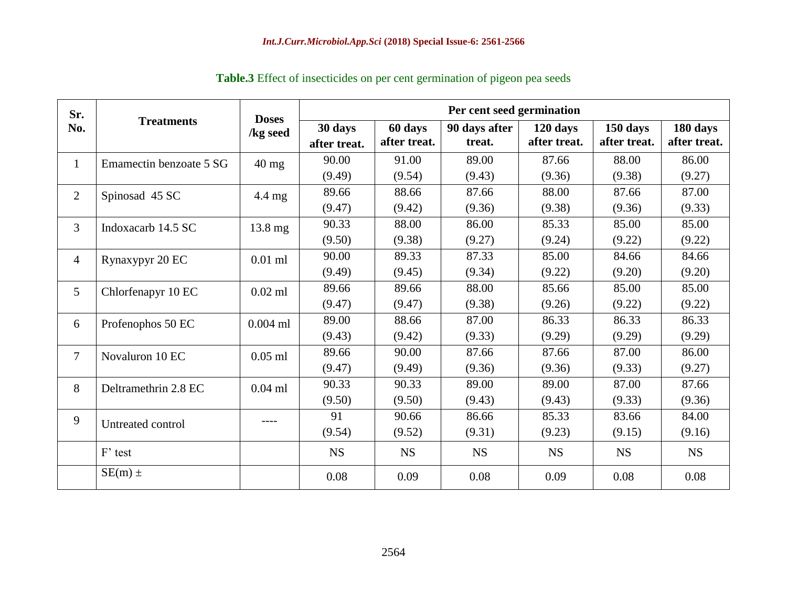| Sr.<br>No.      | <b>Treatments</b>       | <b>Doses</b><br>/kg seed | Per cent seed germination |                         |                         |                          |                          |                          |
|-----------------|-------------------------|--------------------------|---------------------------|-------------------------|-------------------------|--------------------------|--------------------------|--------------------------|
|                 |                         |                          | 30 days<br>after treat.   | 60 days<br>after treat. | 90 days after<br>treat. | 120 days<br>after treat. | 150 days<br>after treat. | 180 days<br>after treat. |
| $\mathbf{1}$    | Emamectin benzoate 5 SG | $40 \text{ mg}$          | 90.00                     | 91.00                   | 89.00                   | 87.66                    | 88.00                    | 86.00                    |
|                 |                         |                          | (9.49)                    | (9.54)                  | (9.43)                  | (9.36)                   | (9.38)                   | (9.27)                   |
| $\overline{2}$  | Spinosad 45 SC          | $4.4 \text{ mg}$         | 89.66                     | 88.66                   | 87.66                   | 88.00                    | 87.66                    | 87.00                    |
|                 |                         |                          | (9.47)                    | (9.42)                  | (9.36)                  | (9.38)                   | (9.36)                   | (9.33)                   |
| $\overline{3}$  | Indoxacarb 14.5 SC      | $13.8 \text{ mg}$        | 90.33                     | 88.00                   | 86.00                   | 85.33                    | 85.00                    | 85.00                    |
|                 |                         |                          | (9.50)                    | (9.38)                  | (9.27)                  | (9.24)                   | (9.22)                   | (9.22)                   |
| $\overline{4}$  | Rynaxypyr 20 EC         | $0.01$ ml                | 90.00                     | 89.33                   | 87.33                   | 85.00                    | 84.66                    | 84.66                    |
|                 |                         |                          | (9.49)                    | (9.45)                  | (9.34)                  | (9.22)                   | (9.20)                   | (9.20)                   |
| $5\overline{)}$ | Chlorfenapyr 10 EC      | $0.02$ ml                | 89.66                     | 89.66                   | 88.00                   | 85.66                    | 85.00                    | 85.00                    |
|                 |                         |                          | (9.47)                    | (9.47)                  | (9.38)                  | (9.26)                   | (9.22)                   | (9.22)                   |
| 6               | Profenophos 50 EC       | $0.004$ ml               | 89.00                     | 88.66                   | 87.00                   | 86.33                    | 86.33                    | 86.33                    |
|                 |                         |                          | (9.43)                    | (9.42)                  | (9.33)                  | (9.29)                   | (9.29)                   | (9.29)                   |
| $\tau$          | Novaluron 10 EC         | $0.05$ ml                | 89.66                     | 90.00                   | 87.66                   | 87.66                    | 87.00                    | 86.00                    |
|                 |                         |                          | (9.47)                    | (9.49)                  | (9.36)                  | (9.36)                   | (9.33)                   | (9.27)                   |
| 8               | Deltramethrin 2.8 EC    | $0.04$ ml                | 90.33                     | 90.33                   | 89.00                   | 89.00                    | 87.00                    | 87.66                    |
|                 |                         |                          | (9.50)                    | (9.50)                  | (9.43)                  | (9.43)                   | (9.33)                   | (9.36)                   |
| 9               | Untreated control       | ----                     | 91                        | 90.66                   | 86.66                   | 85.33                    | 83.66                    | 84.00                    |
|                 |                         |                          | (9.54)                    | (9.52)                  | (9.31)                  | (9.23)                   | (9.15)                   | (9.16)                   |
|                 | F' test                 |                          | <b>NS</b>                 | <b>NS</b>               | <b>NS</b>               | <b>NS</b>                | <b>NS</b>                | <b>NS</b>                |
|                 | $SE(m)$ ±               |                          | 0.08                      | 0.09                    | 0.08                    | 0.09                     | 0.08                     | 0.08                     |

# **Table.3** Effect of insecticides on per cent germination of pigeon pea seeds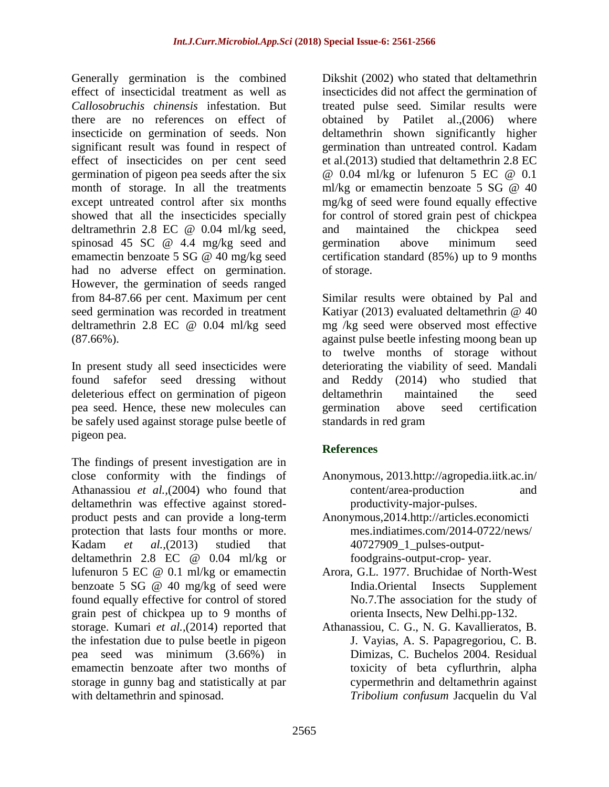Generally germination is the combined effect of insecticidal treatment as well as *Callosobruchis chinensis* infestation. But there are no references on effect of insecticide on germination of seeds. Non significant result was found in respect of effect of insecticides on per cent seed germination of pigeon pea seeds after the six month of storage. In all the treatments except untreated control after six months showed that all the insecticides specially deltramethrin 2.8 EC @ 0.04 ml/kg seed, spinosad 45 SC @ 4.4 mg/kg seed and emamectin benzoate 5 SG @ 40 mg/kg seed had no adverse effect on germination. However, the germination of seeds ranged from 84-87.66 per cent. Maximum per cent seed germination was recorded in treatment deltramethrin 2.8 EC @ 0.04 ml/kg seed (87.66%).

In present study all seed insecticides were found safefor seed dressing without deleterious effect on germination of pigeon pea seed. Hence, these new molecules can be safely used against storage pulse beetle of pigeon pea.

The findings of present investigation are in close conformity with the findings of Athanassiou *et al.,*(2004) who found that deltamethrin was effective against storedproduct pests and can provide a long-term protection that lasts four months or more. Kadam *et al.,*(2013) studied that deltamethrin 2.8 EC @ 0.04 ml/kg or lufenuron 5 EC @ 0.1 ml/kg or emamectin benzoate 5 SG @ 40 mg/kg of seed were found equally effective for control of stored grain pest of chickpea up to 9 months of storage. Kumari *et al.,*(2014) reported that the infestation due to pulse beetle in pigeon pea seed was minimum (3.66%) in emamectin benzoate after two months of storage in gunny bag and statistically at par with deltamethrin and spinosad.

Dikshit (2002) who stated that deltamethrin insecticides did not affect the germination of treated pulse seed. Similar results were obtained by Patilet al.,(2006) where deltamethrin shown significantly higher germination than untreated control. Kadam et al.(2013) studied that deltamethrin 2.8 EC @ 0.04 ml/kg or lufenuron 5 EC @ 0.1 ml/kg or emamectin benzoate 5 SG @ 40 mg/kg of seed were found equally effective for control of stored grain pest of chickpea and maintained the chickpea seed germination above minimum seed certification standard (85%) up to 9 months of storage.

Similar results were obtained by Pal and Katiyar (2013) evaluated deltamethrin @ 40 mg /kg seed were observed most effective against pulse beetle infesting moong bean up to twelve months of storage without deteriorating the viability of seed. Mandali and Reddy (2014) who studied that deltamethrin maintained the seed germination above seed certification standards in red gram

## **References**

- Anonymous, 2013.http://agropedia.iitk.ac.in/ content/area-production and productivity-major-pulses.
- Anonymous,2014.http://articles.economicti mes.indiatimes.com/2014-0722/news/ 40727909\_1\_pulses-outputfoodgrains-output-crop- year.
- Arora, G.L. 1977. Bruchidae of North-West India.Oriental Insects Supplement No.7.The association for the study of orienta Insects, New Delhi.pp-132.
- Athanassiou, C. G., N. G. Kavallieratos, B. J. Vayias, A. S. Papagregoriou, C. B. Dimizas, C. Buchelos 2004. Residual toxicity of beta cyflurthrin, alpha cypermethrin and deltamethrin against *Tribolium confusum* Jacquelin du Val